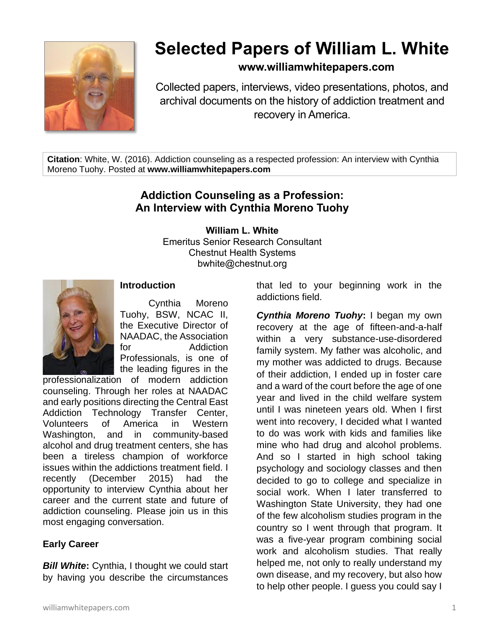

# **Selected Papers of William L. White**

## **www.williamwhitepapers.com**

Collected papers, interviews, video presentations, photos, and archival documents on the history of addiction treatment and recovery in America.

**Citation**: White, W. (2016). Addiction counseling as a respected profession: An interview with Cynthia Moreno Tuohy. Posted at **www.williamwhitepapers.com**

## **Addiction Counseling as a Profession: An Interview with Cynthia Moreno Tuohy**

#### **William L. White**

Emeritus Senior Research Consultant Chestnut Health Systems bwhite@chestnut.org



#### **Introduction**

Cynthia Moreno Tuohy, BSW, NCAC II, the Executive Director of NAADAC, the Association for Addiction Professionals, is one of the leading figures in the

professionalization of modern addiction counseling. Through her roles at NAADAC and early positions directing the Central East Addiction Technology Transfer Center, Volunteers of America in Western Washington, and in community-based alcohol and drug treatment centers, she has been a tireless champion of workforce issues within the addictions treatment field. I recently (December 2015) had the opportunity to interview Cynthia about her career and the current state and future of addiction counseling. Please join us in this most engaging conversation.

## **Early Career**

*Bill White***:** Cynthia, I thought we could start by having you describe the circumstances that led to your beginning work in the addictions field.

*Cynthia Moreno Tuohy***:** I began my own recovery at the age of fifteen-and-a-half within a very substance-use-disordered family system. My father was alcoholic, and my mother was addicted to drugs. Because of their addiction, I ended up in foster care and a ward of the court before the age of one year and lived in the child welfare system until I was nineteen years old. When I first went into recovery, I decided what I wanted to do was work with kids and families like mine who had drug and alcohol problems. And so I started in high school taking psychology and sociology classes and then decided to go to college and specialize in social work. When I later transferred to Washington State University, they had one of the few alcoholism studies program in the country so I went through that program. It was a five-year program combining social work and alcoholism studies. That really helped me, not only to really understand my own disease, and my recovery, but also how to help other people. I guess you could say I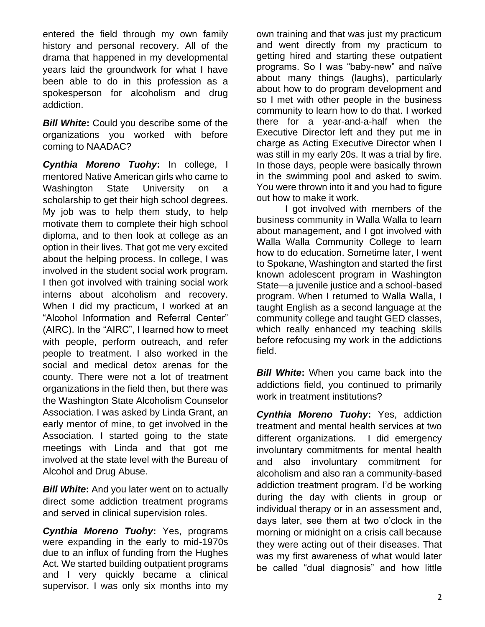entered the field through my own family history and personal recovery. All of the drama that happened in my developmental years laid the groundwork for what I have been able to do in this profession as a spokesperson for alcoholism and drug addiction.

*Bill White***:** Could you describe some of the organizations you worked with before coming to NAADAC?

*Cynthia Moreno Tuohy***:** In college, I mentored Native American girls who came to Washington State University on a scholarship to get their high school degrees. My job was to help them study, to help motivate them to complete their high school diploma, and to then look at college as an option in their lives. That got me very excited about the helping process. In college, I was involved in the student social work program. I then got involved with training social work interns about alcoholism and recovery. When I did my practicum, I worked at an "Alcohol Information and Referral Center" (AIRC). In the "AIRC", I learned how to meet with people, perform outreach, and refer people to treatment. I also worked in the social and medical detox arenas for the county. There were not a lot of treatment organizations in the field then, but there was the Washington State Alcoholism Counselor Association. I was asked by Linda Grant, an early mentor of mine, to get involved in the Association. I started going to the state meetings with Linda and that got me involved at the state level with the Bureau of Alcohol and Drug Abuse.

*Bill White***:** And you later went on to actually direct some addiction treatment programs and served in clinical supervision roles.

*Cynthia Moreno Tuohy***:** Yes, programs were expanding in the early to mid-1970s due to an influx of funding from the Hughes Act. We started building outpatient programs and I very quickly became a clinical supervisor. I was only six months into my

own training and that was just my practicum and went directly from my practicum to getting hired and starting these outpatient programs. So I was "baby-new" and naïve about many things (laughs), particularly about how to do program development and so I met with other people in the business community to learn how to do that. I worked there for a year-and-a-half when the Executive Director left and they put me in charge as Acting Executive Director when I was still in my early 20s. It was a trial by fire. In those days, people were basically thrown in the swimming pool and asked to swim. You were thrown into it and you had to figure out how to make it work.

I got involved with members of the business community in Walla Walla to learn about management, and I got involved with Walla Walla Community College to learn how to do education. Sometime later, I went to Spokane, Washington and started the first known adolescent program in Washington State—a juvenile justice and a school-based program. When I returned to Walla Walla, I taught English as a second language at the community college and taught GED classes, which really enhanced my teaching skills before refocusing my work in the addictions field.

*Bill White:* When you came back into the addictions field, you continued to primarily work in treatment institutions?

*Cynthia Moreno Tuohy***:** Yes, addiction treatment and mental health services at two different organizations. I did emergency involuntary commitments for mental health and also involuntary commitment for alcoholism and also ran a community-based addiction treatment program. I'd be working during the day with clients in group or individual therapy or in an assessment and, days later, see them at two o'clock in the morning or midnight on a crisis call because they were acting out of their diseases. That was my first awareness of what would later be called "dual diagnosis" and how little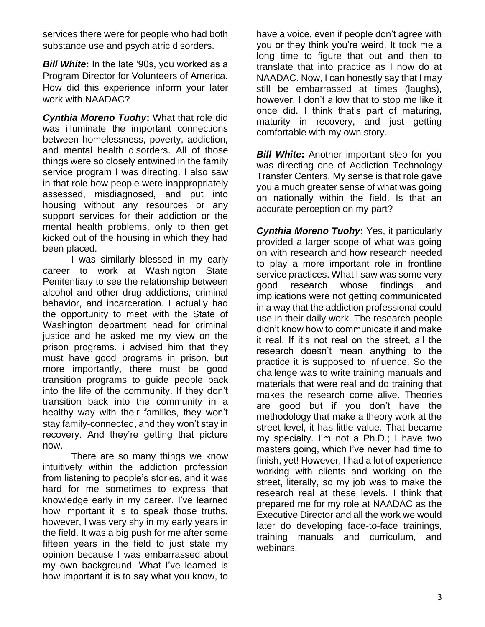services there were for people who had both substance use and psychiatric disorders.

*Bill White***:** In the late '90s, you worked as a Program Director for Volunteers of America. How did this experience inform your later work with NAADAC?

*Cynthia Moreno Tuohy***:** What that role did was illuminate the important connections between homelessness, poverty, addiction, and mental health disorders. All of those things were so closely entwined in the family service program I was directing. I also saw in that role how people were inappropriately assessed, misdiagnosed, and put into housing without any resources or any support services for their addiction or the mental health problems, only to then get kicked out of the housing in which they had been placed.

I was similarly blessed in my early career to work at Washington State Penitentiary to see the relationship between alcohol and other drug addictions, criminal behavior, and incarceration. I actually had the opportunity to meet with the State of Washington department head for criminal justice and he asked me my view on the prison programs. i advised him that they must have good programs in prison, but more importantly, there must be good transition programs to guide people back into the life of the community. If they don't transition back into the community in a healthy way with their families, they won't stay family-connected, and they won't stay in recovery. And they're getting that picture now.

There are so many things we know intuitively within the addiction profession from listening to people's stories, and it was hard for me sometimes to express that knowledge early in my career. I've learned how important it is to speak those truths, however, I was very shy in my early years in the field. It was a big push for me after some fifteen years in the field to just state my opinion because I was embarrassed about my own background. What I've learned is how important it is to say what you know, to

have a voice, even if people don't agree with you or they think you're weird. It took me a long time to figure that out and then to translate that into practice as I now do at NAADAC. Now, I can honestly say that I may still be embarrassed at times (laughs), however, I don't allow that to stop me like it once did. I think that's part of maturing, maturity in recovery, and just getting comfortable with my own story.

*Bill White:* Another important step for you was directing one of Addiction Technology Transfer Centers. My sense is that role gave you a much greater sense of what was going on nationally within the field. Is that an accurate perception on my part?

*Cynthia Moreno Tuohy***:** Yes, it particularly provided a larger scope of what was going on with research and how research needed to play a more important role in frontline service practices. What I saw was some very good research whose findings and implications were not getting communicated in a way that the addiction professional could use in their daily work. The research people didn't know how to communicate it and make it real. If it's not real on the street, all the research doesn't mean anything to the practice it is supposed to influence. So the challenge was to write training manuals and materials that were real and do training that makes the research come alive. Theories are good but if you don't have the methodology that make a theory work at the street level, it has little value. That became my specialty. I'm not a Ph.D.; I have two masters going, which I've never had time to finish, yet! However, I had a lot of experience working with clients and working on the street, literally, so my job was to make the research real at these levels. I think that prepared me for my role at NAADAC as the Executive Director and all the work we would later do developing face-to-face trainings, training manuals and curriculum, and webinars.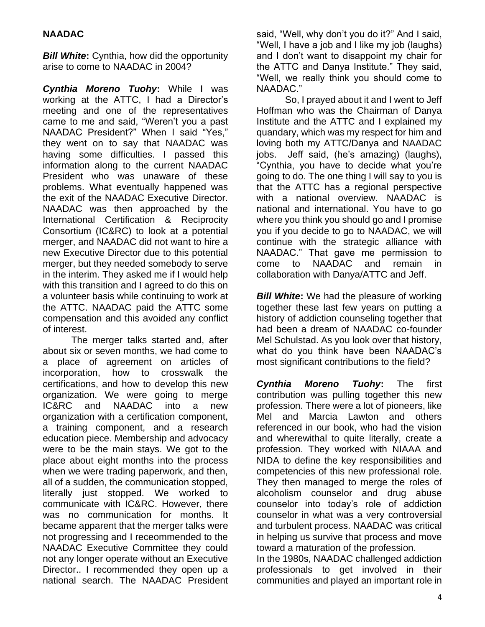### **NAADAC**

*Bill White***:** Cynthia, how did the opportunity arise to come to NAADAC in 2004?

*Cynthia Moreno Tuohy***:** While I was working at the ATTC, I had a Director's meeting and one of the representatives came to me and said, "Weren't you a past NAADAC President?" When I said "Yes," they went on to say that NAADAC was having some difficulties. I passed this information along to the current NAADAC President who was unaware of these problems. What eventually happened was the exit of the NAADAC Executive Director. NAADAC was then approached by the International Certification & Reciprocity Consortium (IC&RC) to look at a potential merger, and NAADAC did not want to hire a new Executive Director due to this potential merger, but they needed somebody to serve in the interim. They asked me if I would help with this transition and I agreed to do this on a volunteer basis while continuing to work at the ATTC. NAADAC paid the ATTC some compensation and this avoided any conflict of interest.

The merger talks started and, after about six or seven months, we had come to a place of agreement on articles of incorporation, how to crosswalk the certifications, and how to develop this new organization. We were going to merge IC&RC and NAADAC into a new organization with a certification component, a training component, and a research education piece. Membership and advocacy were to be the main stays. We got to the place about eight months into the process when we were trading paperwork, and then, all of a sudden, the communication stopped, literally just stopped. We worked to communicate with IC&RC. However, there was no communication for months. It became apparent that the merger talks were not progressing and I receommended to the NAADAC Executive Committee they could not any longer operate without an Executive Director.. I recommended they open up a national search. The NAADAC President

said, "Well, why don't you do it?" And I said, "Well, I have a job and I like my job (laughs) and I don't want to disappoint my chair for the ATTC and Danya Institute." They said, "Well, we really think you should come to NAADAC."

So, I prayed about it and I went to Jeff Hoffman who was the Chairman of Danya Institute and the ATTC and I explained my quandary, which was my respect for him and loving both my ATTC/Danya and NAADAC jobs. Jeff said, (he's amazing) (laughs), "Cynthia, you have to decide what you're going to do. The one thing I will say to you is that the ATTC has a regional perspective with a national overview. NAADAC is national and international. You have to go where you think you should go and I promise you if you decide to go to NAADAC, we will continue with the strategic alliance with NAADAC." That gave me permission to come to NAADAC and remain in collaboration with Danya/ATTC and Jeff.

**Bill White:** We had the pleasure of working together these last few years on putting a history of addiction counseling together that had been a dream of NAADAC co-founder Mel Schulstad. As you look over that history, what do you think have been NAADAC's most significant contributions to the field?

*Cynthia Moreno Tuohy***:** The first contribution was pulling together this new profession. There were a lot of pioneers, like Mel and Marcia Lawton and others referenced in our book, who had the vision and wherewithal to quite literally, create a profession. They worked with NIAAA and NIDA to define the key responsibilities and competencies of this new professional role. They then managed to merge the roles of alcoholism counselor and drug abuse counselor into today's role of addiction counselor in what was a very controversial and turbulent process. NAADAC was critical in helping us survive that process and move toward a maturation of the profession. In the 1980s, NAADAC challenged addiction professionals to get involved in their

communities and played an important role in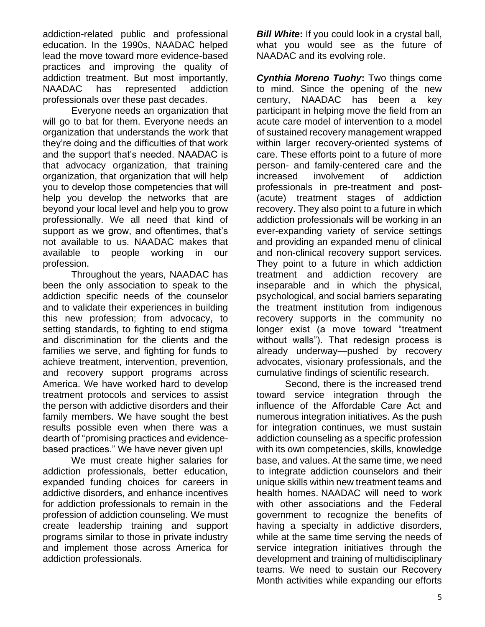addiction-related public and professional education. In the 1990s, NAADAC helped lead the move toward more evidence-based practices and improving the quality of addiction treatment. But most importantly, NAADAC has represented addiction professionals over these past decades.

Everyone needs an organization that will go to bat for them. Everyone needs an organization that understands the work that they're doing and the difficulties of that work and the support that's needed. NAADAC is that advocacy organization, that training organization, that organization that will help you to develop those competencies that will help you develop the networks that are beyond your local level and help you to grow professionally. We all need that kind of support as we grow, and oftentimes, that's not available to us. NAADAC makes that available to people working in our profession.

Throughout the years, NAADAC has been the only association to speak to the addiction specific needs of the counselor and to validate their experiences in building this new profession; from advocacy, to setting standards, to fighting to end stigma and discrimination for the clients and the families we serve, and fighting for funds to achieve treatment, intervention, prevention, and recovery support programs across America. We have worked hard to develop treatment protocols and services to assist the person with addictive disorders and their family members. We have sought the best results possible even when there was a dearth of "promising practices and evidencebased practices." We have never given up!

We must create higher salaries for addiction professionals, better education, expanded funding choices for careers in addictive disorders, and enhance incentives for addiction professionals to remain in the profession of addiction counseling. We must create leadership training and support programs similar to those in private industry and implement those across America for addiction professionals.

*Bill White:* If you could look in a crystal ball, what you would see as the future of NAADAC and its evolving role.

*Cynthia Moreno Tuohy***:** Two things come to mind. Since the opening of the new century, NAADAC has been a key participant in helping move the field from an acute care model of intervention to a model of sustained recovery management wrapped within larger recovery-oriented systems of care. These efforts point to a future of more person- and family-centered care and the increased involvement of addiction professionals in pre-treatment and post- (acute) treatment stages of addiction recovery. They also point to a future in which addiction professionals will be working in an ever-expanding variety of service settings and providing an expanded menu of clinical and non-clinical recovery support services. They point to a future in which addiction treatment and addiction recovery are inseparable and in which the physical, psychological, and social barriers separating the treatment institution from indigenous recovery supports in the community no longer exist (a move toward "treatment without walls"). That redesign process is already underway—pushed by recovery advocates, visionary professionals, and the cumulative findings of scientific research.

Second, there is the increased trend toward service integration through the influence of the Affordable Care Act and numerous integration initiatives. As the push for integration continues, we must sustain addiction counseling as a specific profession with its own competencies, skills, knowledge base, and values. At the same time, we need to integrate addiction counselors and their unique skills within new treatment teams and health homes. NAADAC will need to work with other associations and the Federal government to recognize the benefits of having a specialty in addictive disorders, while at the same time serving the needs of service integration initiatives through the development and training of multidisciplinary teams. We need to sustain our Recovery Month activities while expanding our efforts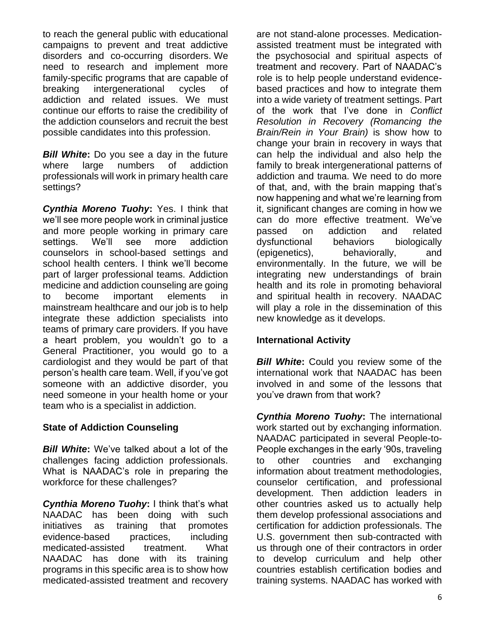to reach the general public with educational campaigns to prevent and treat addictive disorders and co-occurring disorders. We need to research and implement more family-specific programs that are capable of breaking intergenerational cycles of addiction and related issues. We must continue our efforts to raise the credibility of the addiction counselors and recruit the best possible candidates into this profession.

*Bill White***:** Do you see a day in the future where large numbers of addiction professionals will work in primary health care settings?

*Cynthia Moreno Tuohy***:** Yes. I think that we'll see more people work in criminal justice and more people working in primary care settings. We'll see more addiction counselors in school-based settings and school health centers. I think we'll become part of larger professional teams. Addiction medicine and addiction counseling are going to become important elements in mainstream healthcare and our job is to help integrate these addiction specialists into teams of primary care providers. If you have a heart problem, you wouldn't go to a General Practitioner, you would go to a cardiologist and they would be part of that person's health care team. Well, if you've got someone with an addictive disorder, you need someone in your health home or your team who is a specialist in addiction.

#### **State of Addiction Counseling**

*Bill White***:** We've talked about a lot of the challenges facing addiction professionals. What is NAADAC's role in preparing the workforce for these challenges?

*Cynthia Moreno Tuohy***:** I think that's what NAADAC has been doing with such initiatives as training that promotes evidence-based practices, including medicated-assisted treatment. What NAADAC has done with its training programs in this specific area is to show how medicated-assisted treatment and recovery are not stand-alone processes. Medicationassisted treatment must be integrated with the psychosocial and spiritual aspects of treatment and recovery. Part of NAADAC's role is to help people understand evidencebased practices and how to integrate them into a wide variety of treatment settings. Part of the work that I've done in *Conflict Resolution in Recovery (Romancing the Brain/Rein in Your Brain)* is show how to change your brain in recovery in ways that can help the individual and also help the family to break intergenerational patterns of addiction and trauma. We need to do more of that, and, with the brain mapping that's now happening and what we're learning from it, significant changes are coming in how we can do more effective treatment. We've passed on addiction and related dysfunctional behaviors biologically (epigenetics), behaviorally, and environmentally. In the future, we will be integrating new understandings of brain health and its role in promoting behavioral and spiritual health in recovery. NAADAC will play a role in the dissemination of this new knowledge as it develops.

## **International Activity**

**Bill White:** Could you review some of the international work that NAADAC has been involved in and some of the lessons that you've drawn from that work?

*Cynthia Moreno Tuohy***:** The international work started out by exchanging information. NAADAC participated in several People-to-People exchanges in the early '90s, traveling to other countries and exchanging information about treatment methodologies, counselor certification, and professional development. Then addiction leaders in other countries asked us to actually help them develop professional associations and certification for addiction professionals. The U.S. government then sub-contracted with us through one of their contractors in order to develop curriculum and help other countries establish certification bodies and training systems. NAADAC has worked with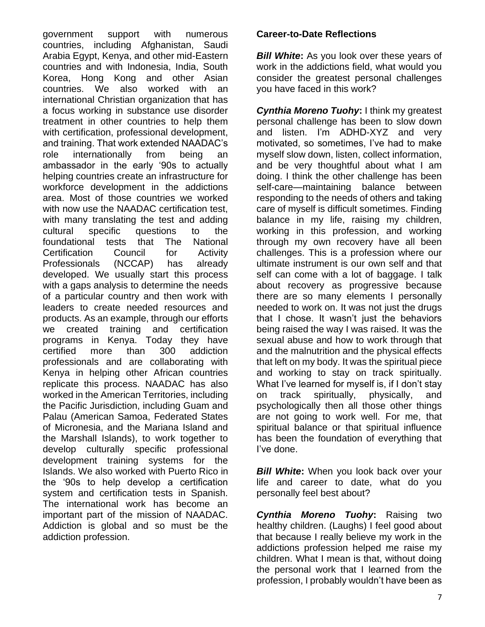government support with numerous countries, including Afghanistan, Saudi Arabia Egypt, Kenya, and other mid-Eastern countries and with Indonesia, India, South Korea, Hong Kong and other Asian countries. We also worked with an international Christian organization that has a focus working in substance use disorder treatment in other countries to help them with certification, professional development, and training. That work extended NAADAC's role internationally from being an ambassador in the early '90s to actually helping countries create an infrastructure for workforce development in the addictions area. Most of those countries we worked with now use the NAADAC certification test, with many translating the test and adding cultural specific questions to the foundational tests that The National Certification Council for Activity Professionals (NCCAP) has already developed. We usually start this process with a gaps analysis to determine the needs of a particular country and then work with leaders to create needed resources and products. As an example, through our efforts we created training and certification programs in Kenya. Today they have certified more than 300 addiction professionals and are collaborating with Kenya in helping other African countries replicate this process. NAADAC has also worked in the American Territories, including the Pacific Jurisdiction, including Guam and Palau (American Samoa, Federated States of Micronesia, and the Mariana Island and the Marshall Islands), to work together to develop culturally specific professional development training systems for the Islands. We also worked with Puerto Rico in the '90s to help develop a certification system and certification tests in Spanish. The international work has become an important part of the mission of NAADAC. Addiction is global and so must be the addiction profession.

#### **Career-to-Date Reflections**

**Bill White:** As you look over these years of work in the addictions field, what would you consider the greatest personal challenges you have faced in this work?

*Cynthia Moreno Tuohy***:** I think my greatest personal challenge has been to slow down and listen. I'm ADHD-XYZ and very motivated, so sometimes, I've had to make myself slow down, listen, collect information, and be very thoughtful about what I am doing. I think the other challenge has been self-care—maintaining balance between responding to the needs of others and taking care of myself is difficult sometimes. Finding balance in my life, raising my children, working in this profession, and working through my own recovery have all been challenges. This is a profession where our ultimate instrument is our own self and that self can come with a lot of baggage. I talk about recovery as progressive because there are so many elements I personally needed to work on. It was not just the drugs that I chose. It wasn't just the behaviors being raised the way I was raised. It was the sexual abuse and how to work through that and the malnutrition and the physical effects that left on my body. It was the spiritual piece and working to stay on track spiritually. What I've learned for myself is, if I don't stay on track spiritually, physically, and psychologically then all those other things are not going to work well. For me, that spiritual balance or that spiritual influence has been the foundation of everything that I've done.

**Bill White:** When you look back over your life and career to date, what do you personally feel best about?

*Cynthia Moreno Tuohy***:** Raising two healthy children. (Laughs) I feel good about that because I really believe my work in the addictions profession helped me raise my children. What I mean is that, without doing the personal work that I learned from the profession, I probably wouldn't have been as